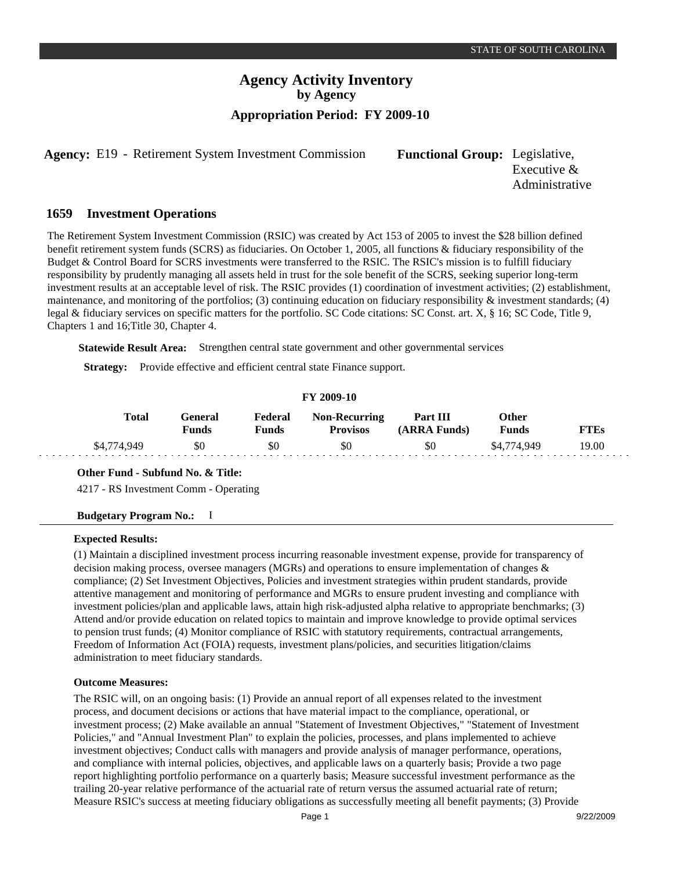# **Agency Activity Inventory by Agency Appropriation Period: FY 2009-10**

**Agency:** E19 - Retirement System Investment Commission Functional Group: Legislative,

Executive & Administrative

#### **Investment Operations 1659**

The Retirement System Investment Commission (RSIC) was created by Act 153 of 2005 to invest the \$28 billion defined benefit retirement system funds (SCRS) as fiduciaries. On October 1, 2005, all functions & fiduciary responsibility of the Budget & Control Board for SCRS investments were transferred to the RSIC. The RSIC's mission is to fulfill fiduciary responsibility by prudently managing all assets held in trust for the sole benefit of the SCRS, seeking superior long-term investment results at an acceptable level of risk. The RSIC provides (1) coordination of investment activities; (2) establishment, maintenance, and monitoring of the portfolios; (3) continuing education on fiduciary responsibility  $\&$  investment standards; (4) legal & fiduciary services on specific matters for the portfolio. SC Code citations: SC Const. art. X, § 16; SC Code, Title 9, Chapters 1 and 16;Title 30, Chapter 4.

**Statewide Result Area:** Strengthen central state government and other governmental services

**Strategy:** Provide effective and efficient central state Finance support.

#### **FY 2009-10**

| Total       | General<br>Funds | Federal<br>Funds | <b>Non-Recurring</b><br><b>Provisos</b> | Part III<br>(ARRA Funds) | Other<br>Funds | <b>FTEs</b> |
|-------------|------------------|------------------|-----------------------------------------|--------------------------|----------------|-------------|
| \$4.774.949 | SO.              | \$0              | SO.                                     | \$0                      | \$4,774,949    | 19.00       |

#### **Other Fund - Subfund No. & Title:**

4217 - RS Investment Comm - Operating

#### **Budgetary Program No.:** I

#### **Expected Results:**

(1) Maintain a disciplined investment process incurring reasonable investment expense, provide for transparency of decision making process, oversee managers (MGRs) and operations to ensure implementation of changes  $\&$ compliance; (2) Set Investment Objectives, Policies and investment strategies within prudent standards, provide attentive management and monitoring of performance and MGRs to ensure prudent investing and compliance with investment policies/plan and applicable laws, attain high risk-adjusted alpha relative to appropriate benchmarks; (3) Attend and/or provide education on related topics to maintain and improve knowledge to provide optimal services to pension trust funds; (4) Monitor compliance of RSIC with statutory requirements, contractual arrangements, Freedom of Information Act (FOIA) requests, investment plans/policies, and securities litigation/claims administration to meet fiduciary standards.

### **Outcome Measures:**

The RSIC will, on an ongoing basis: (1) Provide an annual report of all expenses related to the investment process, and document decisions or actions that have material impact to the compliance, operational, or investment process; (2) Make available an annual "Statement of Investment Objectives," "Statement of Investment Policies," and "Annual Investment Plan" to explain the policies, processes, and plans implemented to achieve investment objectives; Conduct calls with managers and provide analysis of manager performance, operations, and compliance with internal policies, objectives, and applicable laws on a quarterly basis; Provide a two page report highlighting portfolio performance on a quarterly basis; Measure successful investment performance as the trailing 20-year relative performance of the actuarial rate of return versus the assumed actuarial rate of return; Measure RSIC's success at meeting fiduciary obligations as successfully meeting all benefit payments; (3) Provide